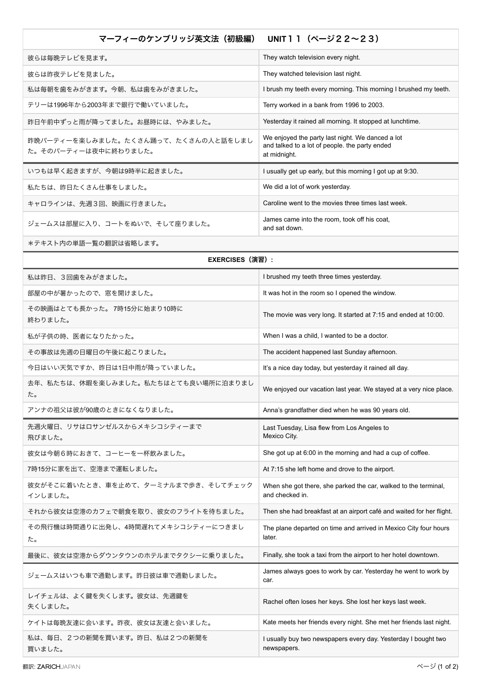## マーフィーのケンブリッジ英文法 (初級編) UNIT11 (ページ22~23)

| 彼らは毎晩テレビを見ます。                                               | They watch television every night.                                                                                 |
|-------------------------------------------------------------|--------------------------------------------------------------------------------------------------------------------|
| 彼らは昨夜テレビを見ました。                                              | They watched television last night.                                                                                |
| 私は毎朝を歯をみがきます。今朝、私は歯をみがきました。                                 | I brush my teeth every morning. This morning I brushed my teeth.                                                   |
| テリーは1996年から2003年まで銀行で働いていました。                               | Terry worked in a bank from 1996 to 2003.                                                                          |
| 昨日午前中ずっと雨が降ってました。お昼時には、やみました。                               | Yesterday it rained all morning. It stopped at lunchtime.                                                          |
| 昨晩パーティーを楽しみました。たくさん踊って、たくさんの人と話をしまし<br>た。そのパーティーは夜中に終わりました。 | We enjoyed the party last night. We danced a lot<br>and talked to a lot of people, the party ended<br>at midnight. |
| いつもは早く起きますが、今朝は9時半に起きました。                                   | l usually get up early, but this morning I got up at 9:30.                                                         |
| 私たちは、昨日たくさん什事をしました。                                         | We did a lot of work yesterday.                                                                                    |
| キャロラインは、先週3回、映画に行きました。                                      | Caroline went to the movies three times last week.                                                                 |
| ジェームスは部屋に入り、コートをぬいで、そして座りました。                               | James came into the room, took off his coat,<br>and sat down.                                                      |

\*テキスト内の単語一覧の翻訳は省略します。

| EXERCISES(演習):                                 |                                                                                    |  |
|------------------------------------------------|------------------------------------------------------------------------------------|--|
| 私は昨日、3回歯をみがきました。                               | I brushed my teeth three times yesterday.                                          |  |
| 部屋の中が暑かったので、窓を開けました。                           | It was hot in the room so I opened the window.                                     |  |
| その映画はとても長かった。 7時15分に始まり10時に<br>終わりました。         | The movie was very long. It started at 7:15 and ended at 10:00.                    |  |
| 私が子供の時、医者になりたかった。                              | When I was a child, I wanted to be a doctor.                                       |  |
| その事故は先週の日曜日の午後に起こりました。                         | The accident happened last Sunday afternoon.                                       |  |
| 今日はいい天気ですか、昨日は1日中雨が降っていました。                    | It's a nice day today, but yesterday it rained all day.                            |  |
| 去年、私たちは、休暇を楽しみました。私たちはとても良い場所に泊まりまし<br>た。      | We enjoyed our vacation last year. We stayed at a very nice place.                 |  |
| アンナの祖父は彼が90歳のときになくなりました。                       | Anna's grandfather died when he was 90 years old.                                  |  |
| 先週火曜日、リサはロサンゼルスからメキシコシティーまで<br>飛びました。          | Last Tuesday, Lisa flew from Los Angeles to<br>Mexico City.                        |  |
| 彼女は今朝6時におきて、コーヒーを一杯飲みました。                      | She got up at 6:00 in the morning and had a cup of coffee.                         |  |
| 7時15分に家を出て、空港まで運転しました。                         | At 7:15 she left home and drove to the airport.                                    |  |
| 彼女がそこに着いたとき、車を止めて、ターミナルまで歩き、そしてチェック<br>インしました。 | When she got there, she parked the car, walked to the terminal,<br>and checked in. |  |
| それから彼女は空港のカフェで朝食を取り、彼女のフライトを待ちました。             | Then she had breakfast at an airport café and waited for her flight.               |  |
| その飛行機は時間通りに出発し、4時間遅れてメキシコシティーにつきまし<br>た。       | The plane departed on time and arrived in Mexico City four hours<br>later.         |  |
| 最後に、彼女は空港からダウンタウンのホテルまでタクシーに乗りました。             | Finally, she took a taxi from the airport to her hotel downtown.                   |  |
| ジェームスはいつも車で通勤します。昨日彼は車で通勤しました。                 | James always goes to work by car. Yesterday he went to work by<br>car.             |  |
| レイチェルは、よく鍵を失くします。彼女は、先週鍵を<br>失くしました。           | Rachel often loses her keys. She lost her keys last week.                          |  |
| ケイトは毎晩友達に会います。昨夜、彼女は友達と会いました。                  | Kate meets her friends every night. She met her friends last night.                |  |
| 私は、毎日、2つの新聞を買います。昨日、私は2つの新聞を<br>買いました。         | I usually buy two newspapers every day. Yesterday I bought two<br>newspapers.      |  |